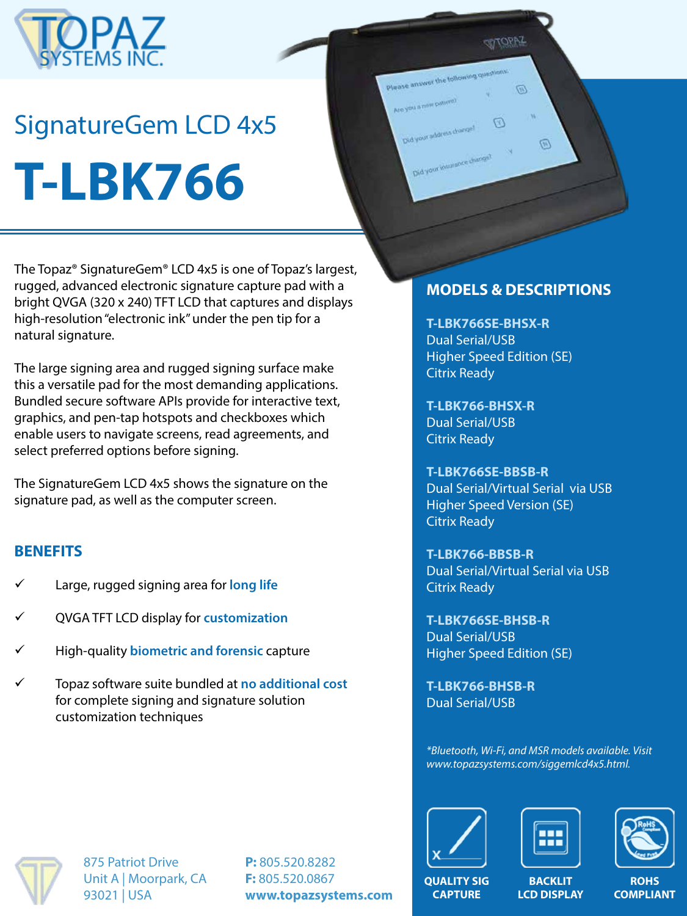

# SignatureGem LCD 4x5 **T-LBK766**

The Topaz® SignatureGem® LCD 4x5 is one of Topaz's largest, rugged, advanced electronic signature capture pad with a bright QVGA (320 x 240) TFT LCD that captures and displays high-resolution "electronic ink" under the pen tip for a natural signature.

The large signing area and rugged signing surface make this a versatile pad for the most demanding applications. Bundled secure software APIs provide for interactive text, graphics, and pen-tap hotspots and checkboxes which enable users to navigate screens, read agreements, and select preferred options before signing.

The SignatureGem LCD 4x5 shows the signature on the signature pad, as well as the computer screen.

#### **BENEFITS**

- Large, rugged signing area for long life
- ü QVGA TFT LCD display for **customization**
- ü High-quality **biometric and forensic** capture
- ü Topaz software suite bundled at **no additional cost**  for complete signing and signature solution customization techniques

#### **MODELS & DESCRIPTIONS**

**STOPAZ** 

 $\overline{\omega}$ 

网

Please answer the following que

Did your insurance due

**T-LBK766SE-BHSX-R** Dual Serial/USB Higher Speed Edition (SE) Citrix Ready

**T-LBK766-BHSX-R** Dual Serial/USB Citrix Ready

**T-LBK766SE-BBSB-R** Dual Serial/Virtual Serial via USB Higher Speed Version (SE) Citrix Ready

**T-LBK766-BBSB-R** Dual Serial/Virtual Serial via USB Citrix Ready

**T-LBK766SE-BHSB-R** Dual Serial/USB Higher Speed Edition (SE)

**T-LBK766-BHSB-R** Dual Serial/USB

*\*Bluetooth, Wi-Fi, and MSR models available. Visit www.topazsystems.com/siggemlcd4x5.html.*







875 Patriot Drive Unit A | Moorpark, CA 93021 | USA

**P:** 805.520.8282 **F:** 805.520.0867 **www.topazsystems.com**

**QUALITY SIG CAPTURE**

**BACKLIT LCD DISPLAY**

**ROHS COMPLIANT**